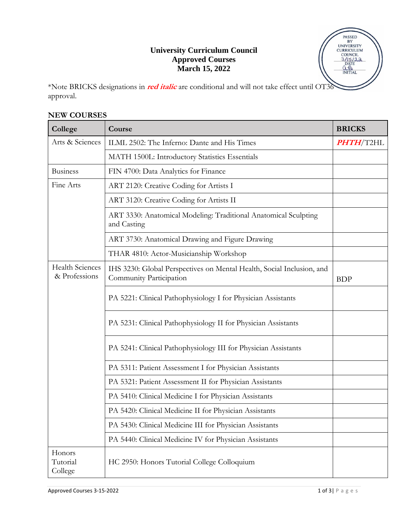## **University Curriculum Council Approved Courses March 15, 2022**

|                         | <b>PASSED</b>                       |  |
|-------------------------|-------------------------------------|--|
|                         | BY<br><b>UNIVERSITY</b>             |  |
|                         | <b>CURRICULUM</b><br><b>COUNCIL</b> |  |
|                         | 3/15/22<br><b>DATE</b><br>0.43      |  |
|                         | <b>INITIAL</b>                      |  |
| $\overline{\text{OT3}}$ |                                     |  |

\*Note BRICKS designations in *red italic* are conditional and will not take effect until approval.

## **NEW COURSES**

| College                                 | Course                                                                                           | <b>BRICKS</b> |
|-----------------------------------------|--------------------------------------------------------------------------------------------------|---------------|
| Arts & Sciences                         | ILML 2502: The Inferno: Dante and His Times                                                      |               |
|                                         | MATH 1500L: Introductory Statistics Essentials                                                   |               |
| <b>Business</b>                         | FIN 4700: Data Analytics for Finance                                                             |               |
| Fine Arts                               | ART 2120: Creative Coding for Artists I                                                          |               |
|                                         | ART 3120: Creative Coding for Artists II                                                         |               |
|                                         | ART 3330: Anatomical Modeling: Traditional Anatomical Sculpting<br>and Casting                   |               |
|                                         | ART 3730: Anatomical Drawing and Figure Drawing                                                  |               |
|                                         | THAR 4810: Actor-Musicianship Workshop                                                           |               |
| <b>Health Sciences</b><br>& Professions | IHS 3230: Global Perspectives on Mental Health, Social Inclusion, and<br>Community Participation | <b>BDP</b>    |
|                                         | PA 5221: Clinical Pathophysiology I for Physician Assistants                                     |               |
|                                         | PA 5231: Clinical Pathophysiology II for Physician Assistants                                    |               |
|                                         | PA 5241: Clinical Pathophysiology III for Physician Assistants                                   |               |
|                                         | PA 5311: Patient Assessment I for Physician Assistants                                           |               |
|                                         | PA 5321: Patient Assessment II for Physician Assistants                                          |               |
|                                         | PA 5410: Clinical Medicine I for Physician Assistants                                            |               |
|                                         | PA 5420: Clinical Medicine II for Physician Assistants                                           |               |
|                                         | PA 5430: Clinical Medicine III for Physician Assistants                                          |               |
|                                         | PA 5440: Clinical Medicine IV for Physician Assistants                                           |               |
| Honors<br>Tutorial<br>College           | HC 2950: Honors Tutorial College Colloquium                                                      |               |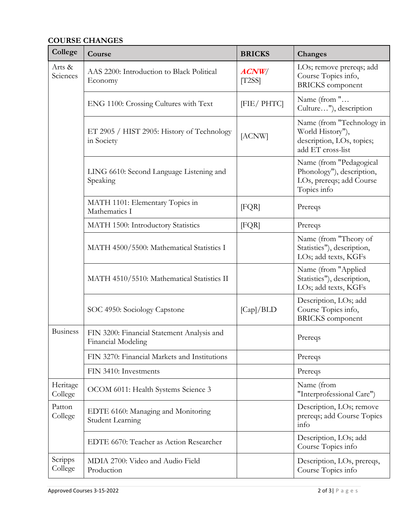## **COURSE CHANGES**

| College             | Course                                                           | <b>BRICKS</b>   | Changes                                                                                         |
|---------------------|------------------------------------------------------------------|-----------------|-------------------------------------------------------------------------------------------------|
| Arts &<br>Sciences  | AAS 2200: Introduction to Black Political<br>Economy             | ACNW/<br>[T2SS] | LOs; remove prereqs; add<br>Course Topics info,<br><b>BRICKS</b> component                      |
|                     | ENG 1100: Crossing Cultures with Text                            | [FIE/ PHTC]     | Name (from "<br>Culture"), description                                                          |
|                     | ET 2905 / HIST 2905: History of Technology<br>in Society         | [ACNW]          | Name (from "Technology in<br>World History"),<br>description, LOs, topics;<br>add ET cross-list |
|                     | LING 6610: Second Language Listening and<br>Speaking             |                 | Name (from "Pedagogical<br>Phonology"), description,<br>LOs, prereqs; add Course<br>Topics info |
|                     | MATH 1101: Elementary Topics in<br>Mathematics I                 | [FQR]           | Prereqs                                                                                         |
|                     | MATH 1500: Introductory Statistics                               | [FQR]           | Prereqs                                                                                         |
|                     | MATH 4500/5500: Mathematical Statistics I                        |                 | Name (from "Theory of<br>Statistics"), description,<br>LOs; add texts, KGFs                     |
|                     | MATH 4510/5510: Mathematical Statistics II                       |                 | Name (from "Applied<br>Statistics"), description,<br>LOs; add texts, KGFs                       |
|                     | SOC 4950: Sociology Capstone                                     | [Cap]/BLD       | Description, LOs; add<br>Course Topics info,<br><b>BRICKS</b> component                         |
| <b>Business</b>     | FIN 3200: Financial Statement Analysis and<br>Financial Modeling |                 | Prereqs                                                                                         |
|                     | FIN 3270: Financial Markets and Institutions                     |                 | Prereqs                                                                                         |
|                     | FIN 3410: Investments                                            |                 | Prereqs                                                                                         |
| Heritage<br>College | OCOM 6011: Health Systems Science 3                              |                 | Name (from<br>"Interprofessional Care")                                                         |
| Patton<br>College   | EDTE 6160: Managing and Monitoring<br><b>Student Learning</b>    |                 | Description, LOs; remove<br>prereqs; add Course Topics<br>info                                  |
|                     | EDTE 6670: Teacher as Action Researcher                          |                 | Description, LOs; add<br>Course Topics info                                                     |
| Scripps<br>College  | MDIA 2700: Video and Audio Field<br>Production                   |                 | Description, LOs, prereqs,<br>Course Topics info                                                |